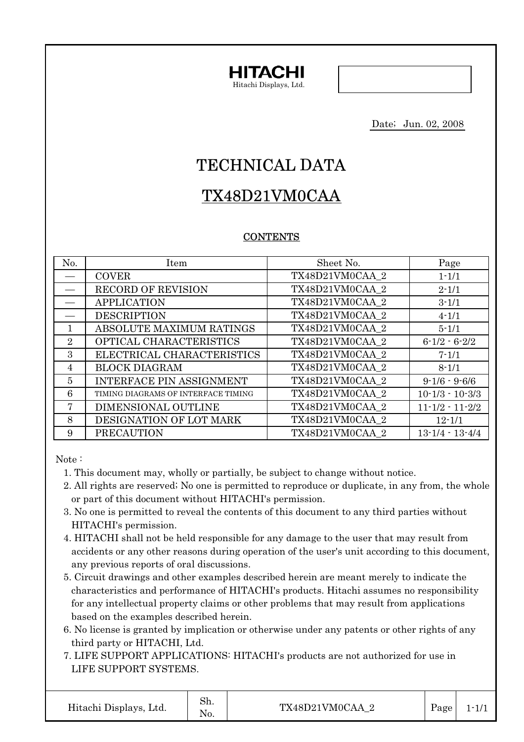

Date; Jun. 02, 2008

# TECHNICAL DATA

# TX48D21VM0CAA

# **CONTENTS**

| No.            | Item                                | Sheet No.       | Page                  |
|----------------|-------------------------------------|-----------------|-----------------------|
|                | <b>COVER</b>                        | TX48D21VM0CAA 2 | $1 - 1/1$             |
|                | <b>RECORD OF REVISION</b>           | TX48D21VM0CAA 2 | $2 - 1/1$             |
|                | <b>APPLICATION</b>                  | TX48D21VM0CAA 2 | $3 - 1/1$             |
|                | <b>DESCRIPTION</b>                  | TX48D21VM0CAA 2 | $4 - 1/1$             |
| $\mathbf{1}$   | ABSOLUTE MAXIMUM RATINGS            | TX48D21VM0CAA 2 | $5 - 1/1$             |
| $\overline{2}$ | OPTICAL CHARACTERISTICS             | TX48D21VM0CAA 2 | $6 - 1/2 - 6 - 2/2$   |
| 3              | ELECTRICAL CHARACTERISTICS          | TX48D21VM0CAA 2 | $7 - 1/1$             |
| $\overline{4}$ | <b>BLOCK DIAGRAM</b>                | TX48D21VM0CAA 2 | $8 - 1/1$             |
| $\overline{5}$ | INTERFACE PIN ASSIGNMENT            | TX48D21VM0CAA 2 | $9 - 1/6 - 9 - 6/6$   |
| 6              | TIMING DIAGRAMS OF INTERFACE TIMING | TX48D21VM0CAA 2 | $10-1/3 - 10-3/3$     |
| 7              | DIMENSIONAL OUTLINE                 | TX48D21VM0CAA 2 | $11 - 1/2 - 11 - 2/2$ |
| 8              | DESIGNATION OF LOT MARK             | TX48D21VM0CAA 2 | $12 - 1/1$            |
| 9              | <b>PRECAUTION</b>                   | TX48D21VM0CAA 2 | $13 - 1/4 - 13 - 4/4$ |

Note :

- 1. This document may, wholly or partially, be subject to change without notice.
- 2. All rights are reserved; No one is permitted to reproduce or duplicate, in any from, the whole or part of this document without HITACHI's permission.
- 3. No one is permitted to reveal the contents of this document to any third parties without HITACHI's permission.
- 4. HITACHI shall not be held responsible for any damage to the user that may result from accidents or any other reasons during operation of the user's unit according to this document, any previous reports of oral discussions.
- 5. Circuit drawings and other examples described herein are meant merely to indicate the characteristics and performance of HITACHI's products. Hitachi assumes no responsibility for any intellectual property claims or other problems that may result from applications based on the examples described herein.
- 6. No license is granted by implication or otherwise under any patents or other rights of any third party or HITACHI, Ltd.
- 7. LIFE SUPPORT APPLICATIONS: HITACHI's products are not authorized for use in LIFE SUPPORT SYSTEMS.

Sh. No.

Hitachi Displays, Ltd.  $\begin{array}{c|c}\n\hline\n\end{array}$  TX48D21VM0CAA\_2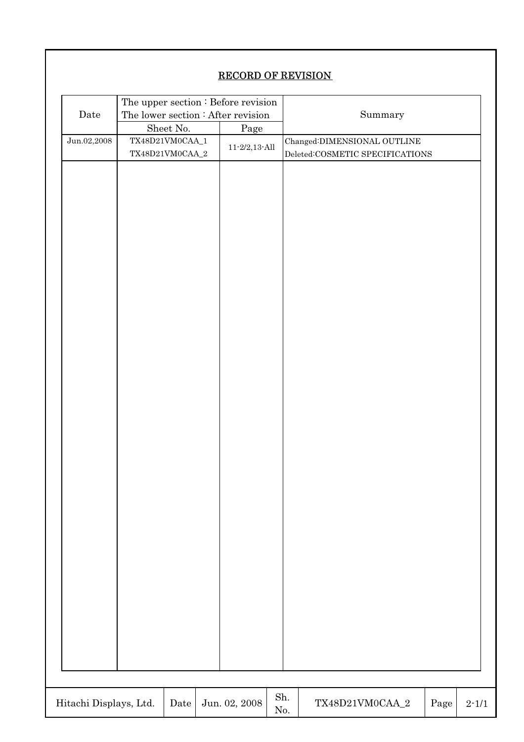# RECORD OF REVISION

|                        | The upper section : Before revision<br>The lower section : After revision |                |                                 |         |                                 |            |           |
|------------------------|---------------------------------------------------------------------------|----------------|---------------------------------|---------|---------------------------------|------------|-----------|
| Date                   |                                                                           |                |                                 | Summary |                                 |            |           |
|                        |                                                                           | Sheet No. $\,$ | Page                            |         |                                 |            |           |
| Jun.02,2008            | TX48D21VM0CAA_1                                                           |                | $11\text{-}2/2, 13\text{-}$ All |         | Changed:DIMENSIONAL OUTLINE     |            |           |
|                        | TX48D21VM0CAA_2                                                           |                |                                 |         | Deleted:COSMETIC SPECIFICATIONS |            |           |
|                        |                                                                           |                |                                 |         |                                 |            |           |
|                        |                                                                           |                |                                 |         |                                 |            |           |
|                        |                                                                           |                |                                 |         |                                 |            |           |
|                        |                                                                           |                |                                 |         |                                 |            |           |
|                        |                                                                           |                |                                 |         |                                 |            |           |
|                        |                                                                           |                |                                 |         |                                 |            |           |
|                        |                                                                           |                |                                 |         |                                 |            |           |
|                        |                                                                           |                |                                 |         |                                 |            |           |
|                        |                                                                           |                |                                 |         |                                 |            |           |
|                        |                                                                           |                |                                 |         |                                 |            |           |
|                        |                                                                           |                |                                 |         |                                 |            |           |
|                        |                                                                           |                |                                 |         |                                 |            |           |
|                        |                                                                           |                |                                 |         |                                 |            |           |
|                        |                                                                           |                |                                 |         |                                 |            |           |
|                        |                                                                           |                |                                 |         |                                 |            |           |
|                        |                                                                           |                |                                 |         |                                 |            |           |
|                        |                                                                           |                |                                 |         |                                 |            |           |
|                        |                                                                           |                |                                 |         |                                 |            |           |
|                        |                                                                           |                |                                 |         |                                 |            |           |
|                        |                                                                           |                |                                 |         |                                 |            |           |
|                        |                                                                           |                |                                 |         |                                 |            |           |
|                        |                                                                           |                |                                 |         |                                 |            |           |
|                        |                                                                           |                |                                 |         |                                 |            |           |
|                        |                                                                           |                |                                 |         |                                 |            |           |
|                        |                                                                           |                |                                 |         |                                 |            |           |
|                        |                                                                           |                |                                 |         |                                 |            |           |
|                        |                                                                           |                |                                 |         |                                 |            |           |
|                        |                                                                           |                |                                 |         |                                 |            |           |
|                        |                                                                           |                |                                 |         |                                 |            |           |
|                        |                                                                           |                |                                 |         |                                 |            |           |
|                        |                                                                           |                |                                 |         |                                 |            |           |
|                        |                                                                           |                |                                 |         |                                 |            |           |
|                        |                                                                           |                |                                 |         |                                 |            |           |
|                        |                                                                           |                |                                 |         |                                 |            |           |
|                        |                                                                           |                |                                 |         |                                 |            |           |
|                        |                                                                           |                |                                 |         |                                 |            |           |
|                        |                                                                           |                |                                 |         |                                 |            |           |
|                        |                                                                           |                |                                 |         |                                 |            |           |
|                        |                                                                           |                |                                 | Sh.     |                                 |            |           |
| Hitachi Displays, Ltd. |                                                                           | $\rm{Date}$    | Jun. 02, 2008                   | No.     | TX48D21VM0CAA_2                 | $\rm Page$ | $2 - 1/1$ |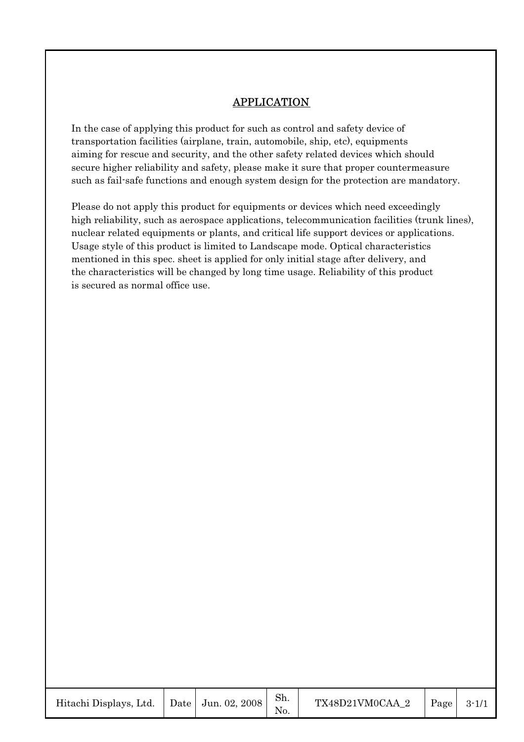# APPLICATION

In the case of applying this product for such as control and safety device of transportation facilities (airplane, train, automobile, ship, etc), equipments aiming for rescue and security, and the other safety related devices which should secure higher reliability and safety, please make it sure that proper countermeasure such as fail-safe functions and enough system design for the protection are mandatory.

Please do not apply this product for equipments or devices which need exceedingly high reliability, such as aerospace applications, telecommunication facilities (trunk lines), nuclear related equipments or plants, and critical life support devices or applications. Usage style of this product is limited to Landscape mode. Optical characteristics mentioned in this spec. sheet is applied for only initial stage after delivery, and the characteristics will be changed by long time usage. Reliability of this product is secured as normal office use.

| Hitachi Displays, Ltd. |  | Date   Jun. 02, 2008 | Sh. | TX48D21VM0CAA 2 | Page | $3 - 1/1$ |
|------------------------|--|----------------------|-----|-----------------|------|-----------|
|------------------------|--|----------------------|-----|-----------------|------|-----------|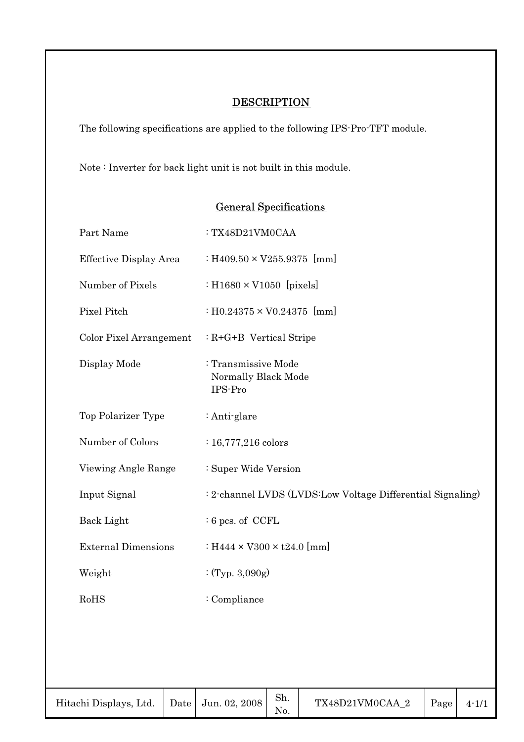# **DESCRIPTION**

The following specifications are applied to the following IPS-Pro-TFT module.

Note : Inverter for back light unit is not built in this module.

| Part Name                  | : TX48D21VM0CAA                                            |
|----------------------------|------------------------------------------------------------|
| Effective Display Area     | : H409.50 $\times$ V255.9375 [mm]                          |
| Number of Pixels           | : H1680 $\times$ V1050 [pixels]                            |
| Pixel Pitch                | $: H0.24375 \times V0.24375$ [mm]                          |
| Color Pixel Arrangement    | $: R + G + B$ Vertical Stripe                              |
| Display Mode               | : Transmissive Mode<br>Normally Black Mode<br>IPS-Pro      |
| Top Polarizer Type         | $:$ Anti-glare                                             |
| Number of Colors           | $: 16,777,216 \text{ colors}$                              |
| Viewing Angle Range        | : Super Wide Version                                       |
| Input Signal               | : 2-channel LVDS (LVDS:Low Voltage Differential Signaling) |
| Back Light                 | $: 6$ pcs. of CCFL                                         |
| <b>External Dimensions</b> | : H444 $\times$ V300 $\times$ t24.0 [mm]                   |
| Weight                     | :(Typ. 3,090g)                                             |
| RoHS                       | : Compliance                                               |
|                            |                                                            |
|                            |                                                            |
|                            |                                                            |

# General Specifications

| Hitachi Displays, Ltd. |  | $\vert$ Date $\vert$ Jun. 02, 2008 $\vert$ | Sh. | TX48D21VM0CAA 2 | Page $\vert$ | $4 - 1/1$ |
|------------------------|--|--------------------------------------------|-----|-----------------|--------------|-----------|
|------------------------|--|--------------------------------------------|-----|-----------------|--------------|-----------|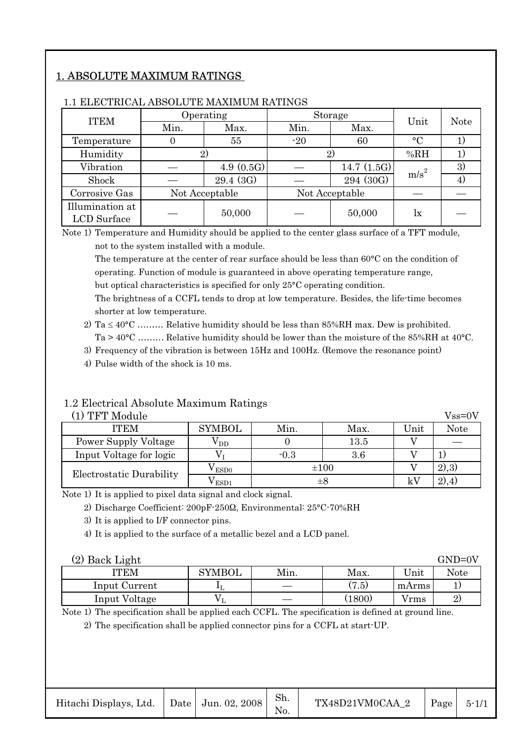# 1. ABSOLUTE MAXIMUM RATINGS

| <b>ITEM</b>     |              | Operating      |                | <b>Storage</b> | Unit             | <b>Note</b> |
|-----------------|--------------|----------------|----------------|----------------|------------------|-------------|
|                 | Min.<br>Max. |                | Min.<br>Max.   |                |                  |             |
| Temperature     |              | 55             | $-20$<br>60    |                | $\rm ^{\circ}C$  |             |
| Humidity        | 2)           |                | 2)             |                | %RH              |             |
| Vibration       |              | 4.9 $(0.5G)$   |                | 14.7 $(1.5G)$  |                  | 3)          |
| Shock           |              | $29.4 \; (3G)$ |                | 294 (30G)      | m/s <sup>2</sup> | 41          |
| Corrosive Gas   |              | Not Acceptable | Not Acceptable |                |                  |             |
| Illumination at |              | 50,000         |                | 50,000         | lx               |             |
| LCD Surface     |              |                |                |                |                  |             |

#### 1.1 ELECTRICAL ABSOLUTE MAXIMUM RATINGS

Note 1) Temperature and Humidity should be applied to the center glass surface of a TFT module, not to the system installed with a module.

The temperature at the center of rear surface should be less than 60°C on the condition of operating. Function of module is guaranteed in above operating temperature range, but optical characteristics is specified for only 25°C operating condition.

The brightness of a CCFL tends to drop at low temperature. Besides, the life-time becomes shorter at low temperature.

- 2) Ta  $\leq 40^{\circ}\text{C}$  ……… Relative humidity should be less than 85%RH max. Dew is prohibited. Ta  $>$  40°C ……… Relative humidity should be lower than the moisture of the 85%RH at 40°C.
- 3) Frequency of the vibration is between 15Hz and 100Hz. (Remove the resonance point)
- 4) Pulse width of the shock is 10 ms.

# 1.2 Electrical Absolute Maximum Ratings<br>(1) TFT Module

| (1) TFT Module           |                         |        |           |      | $Vss=0V$ |
|--------------------------|-------------------------|--------|-----------|------|----------|
| <b>ITEM</b>              | <b>SYMBOL</b>           | Min.   | Max.      | Unit | Note     |
| Power Supply Voltage     | $\mathrm{\nu_{\rm DD}}$ |        | 13.5      |      |          |
| Input Voltage for logic  |                         | $-0.3$ | 3.6       |      |          |
| Electrostatic Durability | $\sqrt{\text{ESDO}}$    |        | $\pm 100$ |      | (2),3)   |
|                          | $\sqrt{\mathrm{ESD1}}$  |        | $\pm 8$   |      |          |

Note 1) It is applied to pixel data signal and clock signal.

2) Discharge Coefficient: 200pF-250Q, Environmental: 25°C-70%RH

3) It is applied to I/F connector pins.

4) It is applied to the surface of a metallic bezel and a LCD panel.

| (2) Back Light |               |      |        |       | $GND=0V$ |
|----------------|---------------|------|--------|-------|----------|
| ITEM           | <b>SYMBOL</b> | Min. | Max.   | Unit  | Note     |
| Input Current  |               |      | (7.5)  | mArms |          |
| Input Voltage  |               |      | (1800) | Vrms  | 2        |

Note 1) The specification shall be applied each CCFL. The specification is defined at ground line.

2) The specification shall be applied connector pins for a CCFL at start-UP.

| Hitachi Displays, Ltd.   Date   Jun. 02, 2008 |  |  | Sh. | TX48D21VM0CAA 2   Page   $5-1/1$ |  |  |
|-----------------------------------------------|--|--|-----|----------------------------------|--|--|
|-----------------------------------------------|--|--|-----|----------------------------------|--|--|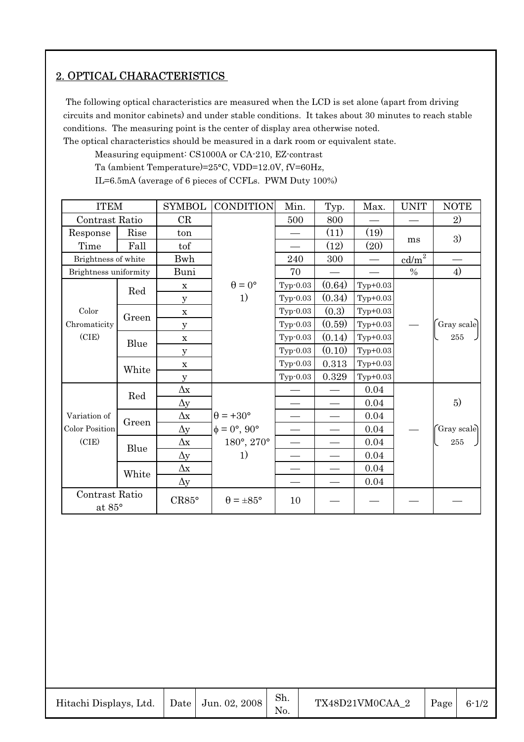# 2. OPTICAL CHARACTERISTICS

 The following optical characteristics are measured when the LCD is set alone (apart from driving circuits and monitor cabinets) and under stable conditions. It takes about 30 minutes to reach stable conditions. The measuring point is the center of display area otherwise noted.

The optical characteristics should be measured in a dark room or equivalent state.

Measuring equipment: CS1000A or CA-210, EZ-contrast

Ta (ambient Temperature)=25°C, VDD=12.0V, fV=60Hz,

IL=6.5mA (average of 6 pieces of CCFLs. PWM Duty 100%)

| <b>ITEM</b>              |       | <b>SYMBOL</b> | <b>CONDITION</b>               | Min.                     | Typ.   | Max.                     | <b>UNIT</b>                 | <b>NOTE</b> |
|--------------------------|-------|---------------|--------------------------------|--------------------------|--------|--------------------------|-----------------------------|-------------|
| Contrast Ratio           |       | CR            |                                | 500                      | 800    |                          |                             | 2)          |
| Response                 | Rise  | ton           |                                |                          | (11)   | (19)                     |                             | 3)          |
| Time                     | Fall  | tof           |                                |                          | (12)   | (20)                     | ms                          |             |
| Brightness of white      |       | Bwh           |                                | 240                      | 300    | $\overline{\phantom{0}}$ | $\underline{\text{cd/m}}^2$ |             |
| Brightness uniformity    |       | Buni          |                                | 70                       |        | $\overline{\phantom{0}}$ | $\frac{0}{0}$               | 4)          |
|                          | Red   | $\mathbf X$   | $\theta = 0^{\circ}$           | $Typ-0.03$               | (0.64) | $Typ+0.03$               |                             |             |
|                          |       | $\mathbf{y}$  | 1)                             | Typ-0.03                 | (0.34) | $Typ+0.03$               |                             |             |
| Color                    | Green | $\mathbf X$   |                                | $Typ-0.03$               | (0.3)  | $Typ+0.03$               |                             |             |
| Chromaticity             |       | $\mathbf{y}$  |                                | $Typ-0.03$               | (0.59) | $Typ+0.03$               |                             | Gray scale  |
| (CIE)                    | Blue  | $\mathbf X$   |                                | Typ-0.03                 | (0.14) | $Typ+0.03$               |                             | 255         |
|                          |       | $\mathbf y$   |                                | $Typ-0.03$               | (0.10) | $Typ+0.03$               |                             |             |
|                          | White | $\mathbf X$   |                                | Typ-0.03                 | 0.313  | $Typ+0.03$               |                             |             |
|                          |       | у             |                                | Typ-0.03                 | 0.329  | $Typ+0.03$               |                             |             |
|                          | Red   | $\Delta x$    |                                |                          |        | 0.04                     |                             |             |
|                          |       | $\Delta y$    |                                |                          |        | 0.04                     |                             | 5)          |
| Variation of             | Green | $\Delta x$    | $\theta$ = +30 $^{\circ}$      | $\overline{\phantom{0}}$ |        | 0.04                     |                             |             |
| Color Position           |       | $\Delta y$    | $\phi = 0^{\circ}, 90^{\circ}$ | $\equiv$                 |        | 0.04                     |                             | Gray scale  |
| (CIE)                    | Blue  | $\Delta x$    | 180°, 270°                     | $\overline{\phantom{0}}$ |        | 0.04                     |                             | 255         |
|                          |       | $\Delta y$    | 1)                             | $\overline{\phantom{0}}$ |        | 0.04                     |                             |             |
|                          | White | $\Delta x$    |                                |                          |        | 0.04                     |                             |             |
|                          |       | $\Delta y$    |                                |                          |        | 0.04                     |                             |             |
| Contrast Ratio<br>at 85° |       | CR85°         | $\theta = \pm 85^{\circ}$      | 10                       |        |                          |                             |             |

| Hitachi Displays, Ltd.   Date   Jun. 02, 2008 |  |  | Sh. | TX48D21VM0CAA 2 | $\vert$ Page $\vert$ 6-1/2 |  |
|-----------------------------------------------|--|--|-----|-----------------|----------------------------|--|
|-----------------------------------------------|--|--|-----|-----------------|----------------------------|--|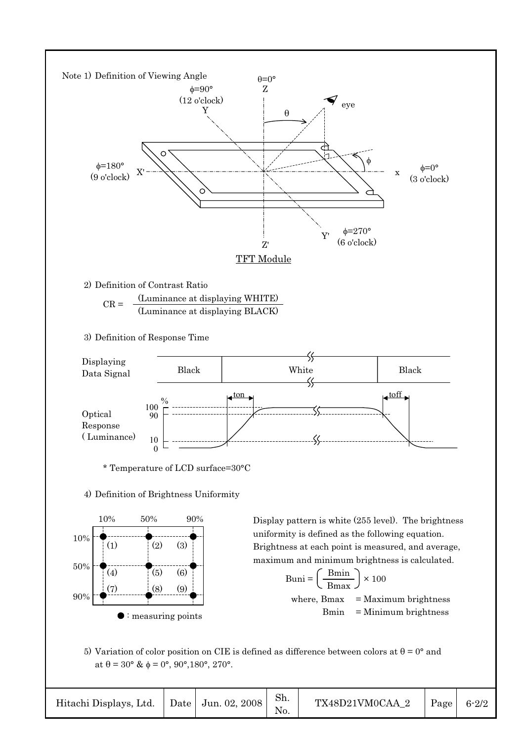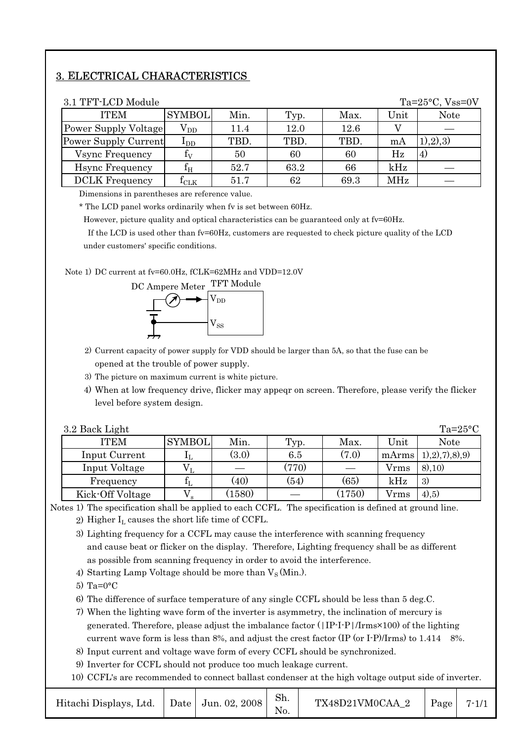# 3. ELECTRICAL CHARACTERISTICS

| 3.1 TFT-LCD Module<br>Ta= $25^{\circ}$ C, Vss=0V |               |      |      |      |                |               |  |  |
|--------------------------------------------------|---------------|------|------|------|----------------|---------------|--|--|
| <b>ITEM</b>                                      | <b>SYMBOL</b> | Min. | Typ. | Max. | Unit           | <b>Note</b>   |  |  |
| Power Supply Voltage                             | $\rm V_{DD}$  | 11.4 | 12.0 | 12.6 |                |               |  |  |
| Power Supply Current                             | $\rm I_{DD}$  | TBD. | TBD. | TBD. | mA             | (1), (2), (3) |  |  |
| Vsync Frequency                                  | $f_V$         | 50   | 60   | 60   | Hz             | 4)            |  |  |
| <b>H</b> sync Frequency                          | $\rm f_{H}$   | 52.7 | 63.2 | 66   | $\mathrm{kHz}$ |               |  |  |
| <b>DCLK</b> Frequency                            | $I_{CLK}$     | 51.7 | 62   | 69.3 | MHz            |               |  |  |

Dimensions in parentheses are reference value.

\* The LCD panel works ordinarily when fv is set between 60Hz.

However, picture quality and optical characteristics can be guaranteed only at fv=60Hz.

 If the LCD is used other than fv=60Hz, customers are requested to check picture quality of the LCD under customers' specific conditions.

Note 1) DC current at fv=60.0Hz, fCLK=62MHz and VDD=12.0V



- 2) Current capacity of power supply for VDD should be larger than 5A, so that the fuse can be opened at the trouble of power supply.
- 3) The picture on maximum current is white picture.
- 4) When at low frequency drive, flicker may appeqr on screen. Therefore, please verify the flicker level before system design.

| 3.2 Back Light   |               |        |                          |        |              | $Ta=25^{\circ}C$      |
|------------------|---------------|--------|--------------------------|--------|--------------|-----------------------|
| <b>ITEM</b>      | <b>SYMBOL</b> | Min.   | Typ.                     | Max.   | Unit         | <b>Note</b>           |
| Input Current    |               | (3.0)  | 6.5                      | (7.0)  | mArms        | (1),2), (7), (8), (9) |
| Input Voltage    |               |        | (770)                    |        | Vrms         | (8), 10)              |
| Frequency        |               | (40)   | (54)                     | (65)   | kHz          | 3)                    |
| Kick-Off Voltage | $\mathbf{s}$  | (1580) | $\overline{\phantom{0}}$ | (1750) | <b>V</b> rms | 4,5)                  |

Notes 1) The specification shall be applied to each CCFL. The specification is defined at ground line.

2) Higher  $I_L$  causes the short life time of CCFL.

- 3) Lighting frequency for a CCFL may cause the interference with scanning frequency and cause beat or flicker on the display. Therefore, Lighting frequency shall be as different as possible from scanning frequency in order to avoid the interference.
- 4) Starting Lamp Voltage should be more than  $V_S$  (Min.).
- 5) Ta= $0^{\circ}$ C

6) The difference of surface temperature of any single CCFL should be less than 5 deg.C.

- 7) When the lighting wave form of the inverter is asymmetry, the inclination of mercury is generated. Therefore, please adjust the imbalance factor (|IP-I-P|/Irms×100) of the lighting current wave form is less than  $8\%$ , and adjust the crest factor (IP (or I-P)/Irms) to 1.414  $8\%$ .
- 8) Input current and voltage wave form of every CCFL should be synchronized.

9) Inverter for CCFL should not produce too much leakage current.

10) CCFL's are recommended to connect ballast condenser at the high voltage output side of inverter.

| Hitachi Displays, Ltd.   Date   Jun. 02, 2008 |  |  | Sh. | $TX48D21VM0CAA$ 2   Page   7-1/1 |  |  |
|-----------------------------------------------|--|--|-----|----------------------------------|--|--|
|-----------------------------------------------|--|--|-----|----------------------------------|--|--|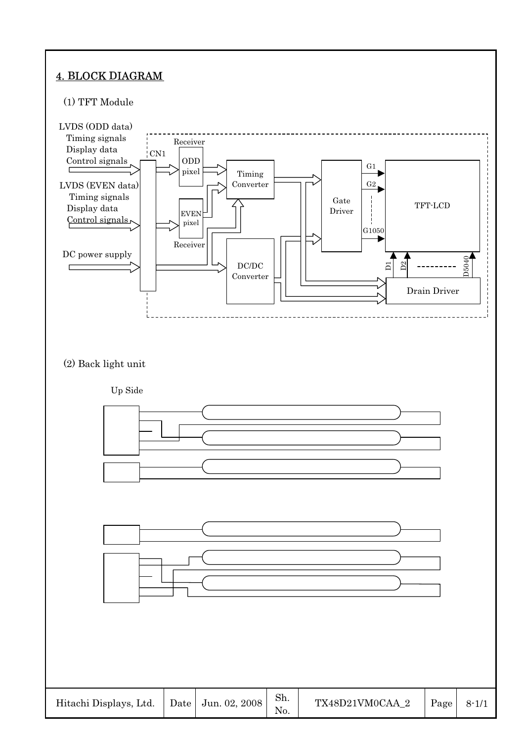# 4. BLOCK DIAGRAM

# (1) TFT Module

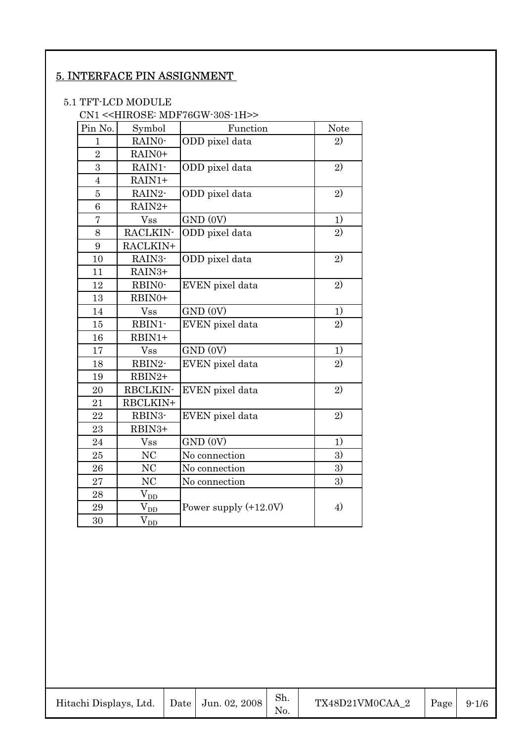# 5. INTERFACE PIN ASSIGNMENT

#### 5.1 TFT-LCD MODULE

# CN1 <<HIROSE: MDF76GW-30S-1H>>

| Pin No.        | Symbol                      | Function                | <b>Note</b>    |
|----------------|-----------------------------|-------------------------|----------------|
| $\mathbf{1}$   | RAIN0-                      | ODD pixel data          | 2)             |
| $\overline{2}$ | RAIN0+                      |                         |                |
| 3              | RAIN1-                      | ODD pixel data          | 2)             |
| $\overline{4}$ | $RAIN1+$                    |                         |                |
| $\overline{5}$ | RAIN2-                      | ODD pixel data          | 2)             |
| 6              | RAIN2+                      |                         |                |
| 7              | <b>Vss</b>                  | GND (0V)                | 1)             |
| 8              | RACLKIN-                    | ODD pixel data          | $\overline{2}$ |
| 9              | RACLKIN+                    |                         |                |
| 10             | RAIN3-                      | ODD pixel data          | 2)             |
| 11             | RAIN3+                      |                         |                |
| 12             | RBIN0-                      | EVEN pixel data         | 2)             |
| 13             | RBIN0+                      |                         |                |
| 14             | <b>Vss</b>                  | GND (0V)                | 1)             |
| 15             | RBIN1-                      | EVEN pixel data         | 2)             |
| 16             | RBIN1+                      |                         |                |
| 17             | <b>Vss</b>                  | GND (0V)                | 1)             |
| 18             | RBIN2-                      | EVEN pixel data         | 2)             |
| 19             | RBIN2+                      |                         |                |
| 20             | RBCLKIN-                    | EVEN pixel data         | 2)             |
| 21             | RBCLKIN+                    |                         |                |
| 22             | RBIN3-                      | EVEN pixel data         | 2)             |
| 23             | RBIN3+                      |                         |                |
| 24             | <b>Vss</b>                  | GND (0V)                | 1)             |
| 25             | NC                          | No connection           | 3)             |
| 26             | NC                          | No connection           | 3)             |
| 27             | NC                          | No connection           | 3)             |
| 28             | $V_{DD}$                    |                         |                |
| 29             | $V_{DD}$                    | Power supply $(+12.0V)$ | 4)             |
| 30             | $\rm V_{\rm \overline{DD}}$ |                         |                |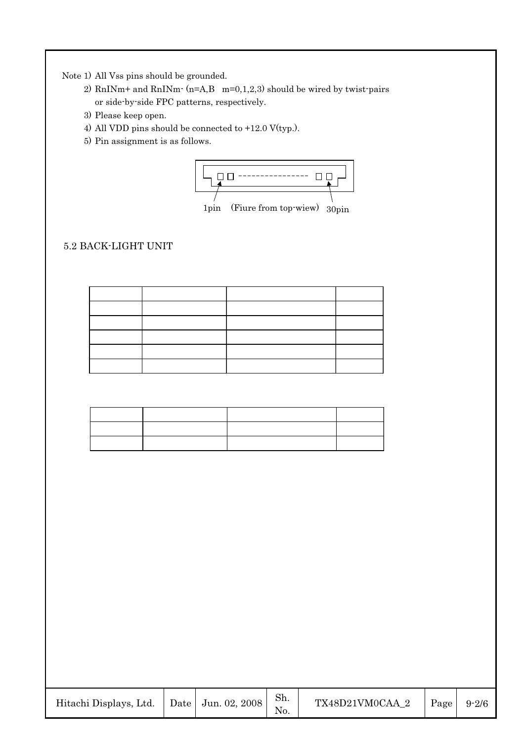Note 1) All Vss pins should be grounded.

- 2) RnINm+ and RnINm $\cdot$  (n=A,B m=0,1,2,3) should be wired by twist-pairs or side-by-side FPC patterns, respectively.
- 3) Please keep open.
- 4) All VDD pins should be connected to +12.0 V(typ.).
- 5) Pin assignment is as follows.



1pin (Fiure from top-wiew) 30pin

# 5.2 BACK-LIGHT UNIT

| Hitachi Displays, Ltd.   Date   Jun. 02, 2008 |  |  | Sh. | TX48D21VM0CAA 2 | Page $9-2/6$ |  |
|-----------------------------------------------|--|--|-----|-----------------|--------------|--|
|-----------------------------------------------|--|--|-----|-----------------|--------------|--|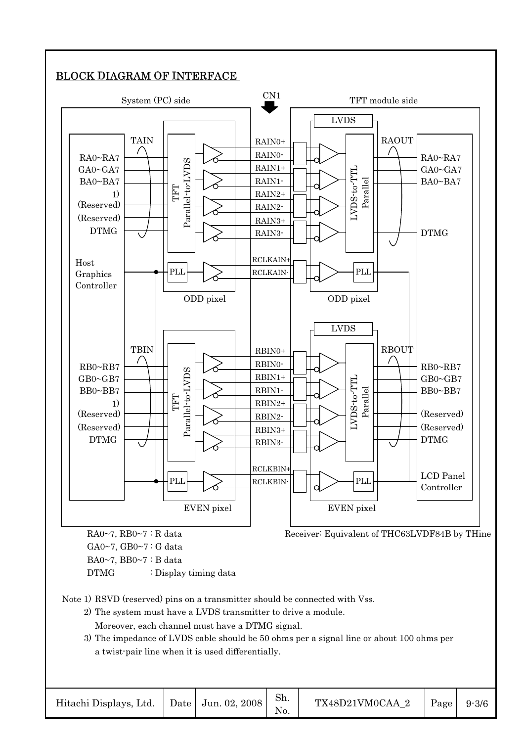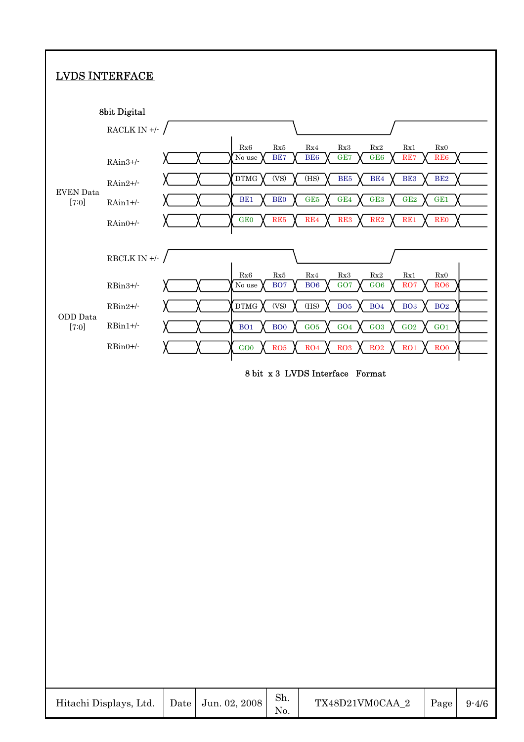# LVDS INTERFACE



| Hitachi Displays, Ltd.   Date   Jun. 02, 2008 |  |  | Sh. | $TX48D21VM0CAA_2$   Page   9-4/6 |  |  |
|-----------------------------------------------|--|--|-----|----------------------------------|--|--|
|-----------------------------------------------|--|--|-----|----------------------------------|--|--|

T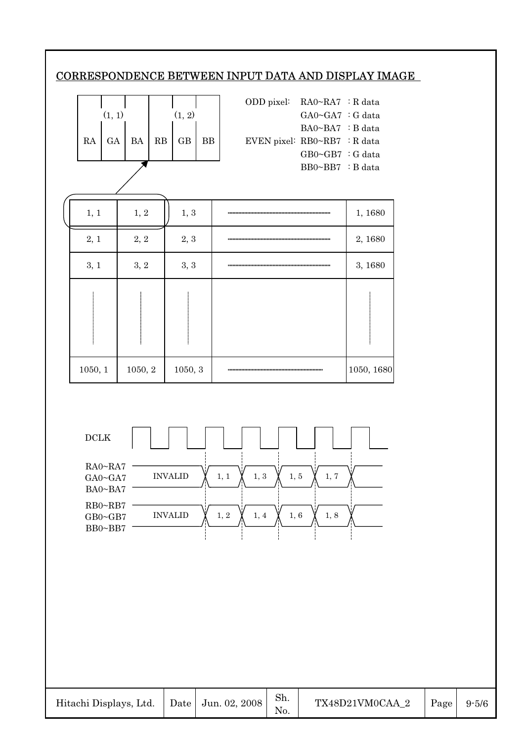# CORRESPONDENCE BETWEEN INPUT DATA AND DISPLAY IMAGE



|        |  |                        | ODD pixel: $RA0~RA7 : R data$  |                         |  |
|--------|--|------------------------|--------------------------------|-------------------------|--|
| (1, 1) |  | (1, 2)                 |                                | $GAO-GA7 : G data$      |  |
|        |  |                        |                                | $BA0\sim BA7$ : B data  |  |
|        |  | GA   BA   RB   GB   BB | EVEN pixel: $RB0~RB7$ : R data |                         |  |
|        |  |                        |                                | $GB0 \sim GB7$ : G data |  |
|        |  |                        |                                | BB0~BB7 : B data        |  |

| 1, 1    | $1,\,2$ | 1, 3    | 1,1680     |
|---------|---------|---------|------------|
| 2, 1    | 2, 2    | 2, 3    | 2, 1680    |
| 3, 1    | 3, 2    | 3, 3    | 3, 1680    |
|         |         |         |            |
| 1050, 1 | 1050, 2 | 1050, 3 | 1050, 1680 |



| Hitachi Displays, Ltd.   Date   Jun. 02, 2008 |  |  | Sh. | TX48D21VM0CAA 2 | Page | $9 - 5/6$ |
|-----------------------------------------------|--|--|-----|-----------------|------|-----------|
|-----------------------------------------------|--|--|-----|-----------------|------|-----------|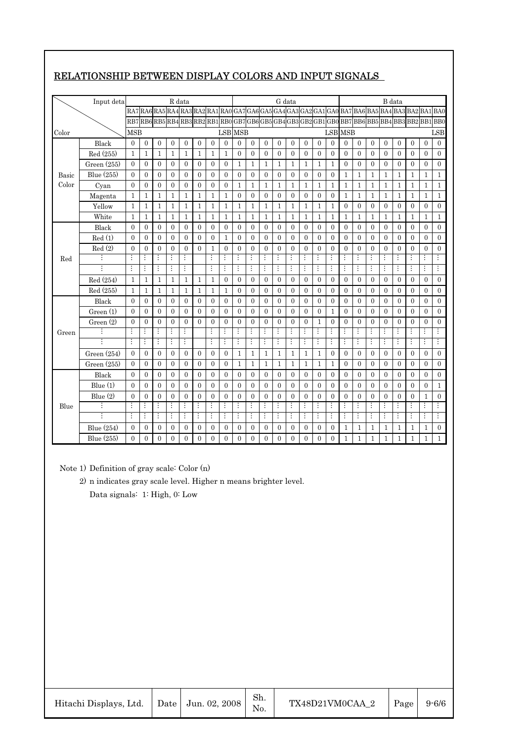|       | Input deta     |                         |                |                         | R data           |                  |                |                  |                  |                |                  |                         |                | G data         |                  |                  |                |                         |              |                |                | B data         |                                                                                             |                  |                |
|-------|----------------|-------------------------|----------------|-------------------------|------------------|------------------|----------------|------------------|------------------|----------------|------------------|-------------------------|----------------|----------------|------------------|------------------|----------------|-------------------------|--------------|----------------|----------------|----------------|---------------------------------------------------------------------------------------------|------------------|----------------|
|       |                | RA7                     |                |                         |                  |                  |                |                  |                  |                |                  |                         |                |                |                  |                  |                |                         |              |                |                |                | RA6 RA5 RA4 RA3 RA2 RA1 RA0 GA7 GA6 GA5 GA4 GA3 GA2 GA1 GA0 BA7 BA6 BA5 BA4 BA3 BA2 BA1 BA0 |                  |                |
|       |                | RB7                     |                |                         |                  |                  |                |                  |                  |                |                  |                         |                |                |                  |                  |                |                         |              |                |                |                | RB6 RB5 RB4 RB3 RB2 RB1 RB0 GB7 GB6 GB5 GB4 GB3 GB2 GB1 GB0 BB7 BB6 BB5 BB4 BB3 BB2 BB1 BB0 |                  |                |
| Color |                | <b>MSB</b>              |                |                         |                  |                  |                |                  |                  | LSB MSB        |                  |                         |                |                |                  |                  |                | <b>LSB</b> MSB          |              |                |                |                |                                                                                             |                  | LSB            |
|       | Black          | $\overline{0}$          | $\overline{0}$ | $\mathbf{0}$            | $\overline{0}$   | $\overline{0}$   | $\overline{0}$ | $\overline{0}$   | $\overline{0}$   | $\overline{0}$ | $\overline{0}$   | $\mathbf{0}$            | $\overline{0}$ | $\overline{0}$ | $\mathbf{0}$     | $\overline{0}$   | $\theta$       | $\overline{0}$          | $\theta$     | $\overline{0}$ | $\overline{0}$ | $\overline{0}$ | $\mathbf{0}$                                                                                | $\overline{0}$   | $\theta$       |
|       | Red (255)      | $\mathbf{1}$            | $\mathbf{1}$   | $\mathbf{1}$            | $\mathbf{1}$     | $\mathbf{1}$     | $\mathbf{1}$   | $\mathbf{1}$     | $\mathbf{1}$     | $\overline{0}$ | $\overline{0}$   | $\mathbf{0}$            | $\overline{0}$ | $\overline{0}$ | $\mathbf{0}$     | $\overline{0}$   | $\overline{0}$ | $\overline{0}$          | $\mathbf{0}$ | $\overline{0}$ | $\overline{0}$ | $\mathbf{0}$   | $\mathbf{0}$                                                                                | $\mathbf{0}$     | $\overline{0}$ |
|       | Green $(255)$  | $\Omega$                | $\mathbf{0}$   | $\theta$                | 0                | $\mathbf{0}$     | 0              | $\theta$         | $\overline{0}$   | $\mathbf{1}$   | $\mathbf{1}$     | $\mathbf{1}$            | $\mathbf{1}$   | $\mathbf{1}$   | $\mathbf{1}$     | $\mathbf{1}$     | $\mathbf{1}$   | 0                       | 0            | $\theta$       | 0              | 0              | 0                                                                                           | 0                | 0              |
| Basic | Blue (255)     | $\Omega$                | $\overline{0}$ | $\Omega$                | $\overline{0}$   | $\mathbf{0}$     | 0              | $\mathbf{0}$     | $\overline{0}$   | $\theta$       | $\mathbf{0}$     | $\theta$                | $\overline{0}$ | $\theta$       | $\overline{0}$   | $\theta$         | $\overline{0}$ | 1                       | 1            | 1              | 1              | $\mathbf{1}$   | $\mathbf{1}$                                                                                | 1                | $\mathbf{1}$   |
| Color | Cyan           | $\overline{0}$          | $\mathbf{0}$   | $\mathbf{0}$            | $\overline{0}$   | $\overline{0}$   | $\overline{0}$ | $\overline{0}$   | $\mathbf{0}$     | $\mathbf{1}$   | $\mathbf{1}$     | $\mathbf{1}$            | $\mathbf{1}$   | $\mathbf{1}$   | $\mathbf{1}$     | $\mathbf{1}$     | $\mathbf{1}$   | $\mathbf{1}$            | $\mathbf{1}$ | $\mathbf{1}$   | $\mathbf{1}$   | $\mathbf{1}$   | $\mathbf{1}$                                                                                | $\mathbf{1}$     | $\mathbf{1}$   |
|       | Magenta        | $\mathbf{1}$            | $\mathbf{1}$   | $\mathbf{1}$            | $\mathbf{1}$     | 1                | 1              | $\mathbf{1}$     | 1                | 0              | $\mathbf{0}$     | $\mathbf{0}$            | $\overline{0}$ | $\overline{0}$ | $\mathbf{0}$     | $\mathbf{0}$     | $\mathbf{0}$   | 1                       | $\mathbf{1}$ | 1              | 1              | $\mathbf 1$    | $\mathbf{1}$                                                                                | $\mathbf{1}$     | $\mathbf{1}$   |
|       | Yellow         | $\mathbf{1}$            | $\mathbf{1}$   | $\mathbf{1}$            | $\mathbf{1}$     | 1                | 1              | $\mathbf{1}$     | 1                | $\mathbf{1}$   | 1                | $\mathbf{1}$            | $\mathbf{1}$   | $\mathbf{1}$   | 1                | $\mathbf 1$      | $\mathbf{1}$   | $\overline{0}$          | 0            | $\overline{0}$ | 0              | $\mathbf{0}$   | $\mathbf{0}$                                                                                | $\overline{0}$   | $\mathbf{0}$   |
|       | White          | $\mathbf{1}$            | $\mathbf{1}$   | $\mathbf{1}$            | $\mathbf{1}$     | $\mathbf{1}$     | $\mathbf{1}$   | $\mathbf{1}$     | $\mathbf{1}$     | $\mathbf{1}$   | $\mathbf{1}$     | $\mathbf{1}$            | $\mathbf{1}$   | $\mathbf{1}$   | $\mathbf{1}$     | $\mathbf{1}$     | $\mathbf{1}$   | $\mathbf{1}$            | 1            | $\mathbf{1}$   | $\mathbf{1}$   | $\mathbf{1}$   | $\mathbf{1}$                                                                                | $\mathbf{1}$     | $\mathbf{1}$   |
|       | Black          | $\mathbf{0}$            | $\mathbf{0}$   | $\boldsymbol{0}$        | $\boldsymbol{0}$ | $\boldsymbol{0}$ | 0              | $\boldsymbol{0}$ | $\boldsymbol{0}$ | $\mathbf{0}$   | $\boldsymbol{0}$ | $\mathbf{0}$            | $\overline{0}$ | $\mathbf{0}$   | $\boldsymbol{0}$ | $\boldsymbol{0}$ | $\overline{0}$ | $\mathbf{0}$            | 0            | $\mathbf{0}$   | $\overline{0}$ | $\mathbf{0}$   | 0                                                                                           | $\boldsymbol{0}$ | $\overline{0}$ |
|       | Red(1)         | $\theta$                | $\overline{0}$ | $\mathbf{0}$            | $\mathbf{0}$     | $\mathbf{0}$     | $\mathbf{0}$   | $\overline{0}$   | $\mathbf{1}$     | $\mathbf{0}$   | $\overline{0}$   | $\mathbf{0}$            | $\theta$       | $\mathbf{0}$   | $\theta$         | $\mathbf{0}$     | $\theta$       | $\overline{0}$          | $\theta$     | $\theta$       | $\theta$       | $\mathbf{0}$   | $\theta$                                                                                    | $\overline{0}$   | $\theta$       |
|       | Red(2)         | $\mathbf{0}$            | $\mathbf{0}$   | $\theta$                | $\theta$         | $\mathbf{0}$     | $\theta$       | $\mathbf{1}$     | $\mathbf{0}$     | $\overline{0}$ | $\theta$         | $\mathbf{0}$            | $\theta$       | $\overline{0}$ | $\theta$         | $\theta$         | $\theta$       | $\overline{0}$          | $\theta$     | $\theta$       | $\theta$       | $\theta$       | $\theta$                                                                                    | $\theta$         | $\theta$       |
| Red   |                | $\overline{\mathbf{H}}$ | $\vdots$       | $\overline{\mathbf{H}}$ | $\vdots$         | $\vdots$         |                | $\vdots$         |                  | $\vdots$       | $\vdots$         | $\overline{\mathbf{H}}$ | $\vdots$       | $\vdots$       | $\vdots$         | $\vdots$         | $\vdots$       | $\vdots$                | $\vdots$     | $\vdots$       | $\vdots$       | $\vdots$       | $\vdots$                                                                                    | $\vdots$         | $\vdots$       |
|       |                | Ŧ                       | $\vdots$       | Ŧ                       | $\vdots$         | $\vdots$         |                | Ŧ                | $\vdots$         | $\vdots$       | $\vdots$         | Ŧ                       | $\vdots$       | $\vdots$       | $\vdots$         | ÷                | $\vdots$       | $\overline{\mathbf{r}}$ | $\vdots$     | Ŧ              | $\vdots$       | $\vdots$       | $\vdots$                                                                                    | $\vdots$         | $\vdots$       |
|       | Red (254)      | $\mathbf{1}$            | $\mathbf{1}$   | $\mathbf{1}$            | $\mathbf{1}$     | $\mathbf{1}$     | $\mathbf 1$    | $\mathbf{1}$     | $\mathbf{0}$     | 0              | $\mathbf{0}$     | $\mathbf{0}$            | 0              | $\overline{0}$ | $\mathbf{0}$     | $\mathbf{0}$     | $\mathbf{0}$   | 0                       | 0            | $\overline{0}$ | 0              | $\mathbf{0}$   | $\mathbf{0}$                                                                                | $\mathbf{0}$     | $\theta$       |
|       | Red (255)      | 1                       | 1              | $\mathbf{1}$            | $\mathbf{1}$     | $\mathbf{1}$     | 1              | $\mathbf{1}$     | 1                | $\theta$       | $\theta$         | $\theta$                | $\theta$       | $\theta$       | $\theta$         | $\theta$         | $\theta$       | $\theta$                | $\theta$     | $\theta$       | $\theta$       | $\theta$       | $\theta$                                                                                    | $\theta$         | $\theta$       |
|       | Black          | $\theta$                | $\overline{0}$ | $\mathbf{0}$            | $\overline{0}$   | $\mathbf{0}$     | $\overline{0}$ | $\mathbf{0}$     | $\overline{0}$   | $\overline{0}$ | $\overline{0}$   | $\mathbf{0}$            | $\overline{0}$ | $\mathbf{0}$   | $\overline{0}$   | $\overline{0}$   | $\overline{0}$ | $\overline{0}$          | 0            | $\mathbf{0}$   | 0              | $\overline{0}$ | $\overline{0}$                                                                              | $\overline{0}$   | 0              |
|       | Green(1)       | $\theta$                | $\overline{0}$ | $\mathbf{0}$            | 0                | $\mathbf{0}$     | 0              | $\mathbf{0}$     | $\overline{0}$   | 0              | $\overline{0}$   | $\mathbf{0}$            | 0              | $\mathbf{0}$   | $\overline{0}$   | $\overline{0}$   | $\mathbf{1}$   | 0                       | 0            | $\mathbf{0}$   | 0              | $\overline{0}$ | $\overline{0}$                                                                              | $\overline{0}$   | 0              |
|       | Green(2)       | $\theta$                | $\mathbf{0}$   | $\mathbf{0}$            | $\overline{0}$   | $\overline{0}$   | $\theta$       | $\overline{0}$   | $\overline{0}$   | $\theta$       | $\overline{0}$   | $\mathbf{0}$            | $\theta$       | $\overline{0}$ | $\mathbf{0}$     | $\mathbf{1}$     | $\overline{0}$ | $\overline{0}$          | $\theta$     | $\theta$       | $\theta$       | $\theta$       | $\theta$                                                                                    | $\overline{0}$   | $\theta$       |
| Green |                | $\vdots$                | $\vdots$       | $\vdots$                | $\vdots$         | $\vdots$         |                | $\vdots$         | $\vdots$         | $\vdots$       | $\vdots$         | $\vdots$                | $\vdots$       | $\vdots$       | $\vdots$         | $\vdots$         | $\vdots$       | $\vdots$                | $\vdots$     | $\vdots$       | $\vdots$       | $\vdots$       | $\vdots$                                                                                    | $\vdots$         | $\vdots$       |
|       |                | ŧ                       | $\vdots$       | $\vdots$                | $\vdots$         | $\vdots$         |                | $\vdots$         | $\vdots$         | ŧ              | $\vdots$         | $\vdots$                | $\vdots$       | $\vdots$       | ÷                | ŧ                | $\vdots$       | $\vdots$                | $\vdots$     | $\vdots$       | $\vdots$       | ŧ              | $\vdots$                                                                                    | $\vdots$         | $\vdots$       |
|       | Green $(254)$  | $\Omega$                | $\overline{0}$ | $\theta$                | $\overline{0}$   | $\overline{0}$   | 0              | $\mathbf{0}$     | $\theta$         | $\mathbf{1}$   | $\mathbf{1}$     | $\mathbf{1}$            | $\mathbf{1}$   | $\mathbf{1}$   | $\mathbf{1}$     | $\mathbf{1}$     | $\overline{0}$ | $\theta$                | $\theta$     | $\theta$       | 0              | $\theta$       | $\theta$                                                                                    | $\overline{0}$   | $\theta$       |
|       | Green $(255)$  | $\theta$                | $\overline{0}$ | $\mathbf{0}$            | $\overline{0}$   | $\mathbf{0}$     | $\overline{0}$ | $\mathbf{0}$     | $\overline{0}$   | $\mathbf{1}$   | $\mathbf{1}$     | $\mathbf{1}$            | $\mathbf{1}$   | $\mathbf{1}$   | $\mathbf{1}$     | $\mathbf{1}$     | 1              | $\overline{0}$          | 0            | $\mathbf{0}$   | $\overline{0}$ | $\overline{0}$ | 0                                                                                           | $\overline{0}$   | $\overline{0}$ |
|       | Black          | $\Omega$                | $\mathbf{0}$   | $\mathbf{0}$            | 0                | $\mathbf{0}$     | 0              | $\mathbf{0}$     | $\overline{0}$   | 0              | $\mathbf{0}$     | $\mathbf{0}$            | 0              | $\mathbf{0}$   | $\mathbf{0}$     | $\overline{0}$   | $\mathbf{0}$   | 0                       | 0            | $\mathbf{0}$   | 0              | 0              | $\mathbf{0}$                                                                                | $\overline{0}$   | $\overline{0}$ |
|       | Blue $(1)$     | $\theta$                | 0              | $\mathbf{0}$            | $\mathbf{0}$     | $\mathbf{0}$     | $\mathbf{0}$   | $\mathbf{0}$     | $\overline{0}$   | $\mathbf{0}$   | $\mathbf{0}$     | $\mathbf{0}$            | $\theta$       | $\mathbf{0}$   | 0                | $\mathbf{0}$     | $\theta$       | $\mathbf{0}$            | $\Omega$     | $\theta$       | $\theta$       | $\theta$       | $\Omega$                                                                                    | $\mathbf{0}$     | $\mathbf{1}$   |
|       | Blue (2)       | $\theta$                | $\theta$       | $\theta$                | $\theta$         | $\theta$         | 0              | $\theta$         | $\theta$         | $\theta$       | $\theta$         | $\theta$                | $\theta$       | $\theta$       | $\theta$         | $\theta$         | $\theta$       | $\theta$                | $\theta$     | $\theta$       | 0              | $\theta$       | $\theta$                                                                                    | $\mathbf{1}$     | $\theta$       |
| Blue  | $\ddot{\cdot}$ | $\vdots$                | $\vdots$       | $\vdots$                | $\vdots$         | $\vdots$         | $\vdots$       | $\vdots$         | $\vdots$         | $\vdots$       | $\vdots$         | $\vdots$                | $\vdots$       | $\vdots$       | $\vdots$         | $\vdots$         | $\vdots$       | $\vdots$                | $\vdots$     | $\vdots$       | $\vdots$       | $\vdots$       | $\vdots$                                                                                    | $\vdots$         | $\vdots$       |
|       | $\ddot{\cdot}$ | $\vdots$                | $\vdots$       | ÷                       | $\vdots$         | $\vdots$         | $\vdots$       | $\vdots$         | $\vdots$         | ÷              | $\vdots$         | $\vdots$                | $\vdots$       | $\vdots$       | $\vdots$         | $\vdots$         | $\vdots$       | ÷                       | $\vdots$     | $\vdots$       | $\vdots$       | $\vdots$       | $\vdots$                                                                                    | ÷                | $\vdots$       |
|       | Blue (254)     | 0                       | $\mathbf{0}$   | $\mathbf{0}$            | 0                | $\mathbf{0}$     | 0              | $\mathbf{0}$     | $\mathbf{0}$     | $\overline{0}$ | $\overline{0}$   | $\mathbf{0}$            | 0              | $\overline{0}$ | $\mathbf{0}$     | $\mathbf{0}$     | $\mathbf{0}$   | $\mathbf{1}$            | 1            | $\mathbf{1}$   | 1              | $\mathbf{1}$   | $\mathbf{1}$                                                                                | $\mathbf{1}$     | $\theta$       |
|       | Blue (255)     | 0                       | $\theta$       | $\theta$                | 0                | $\theta$         | 0              | $\theta$         | $\theta$         | 0              | $\theta$         | $\theta$                | 0              | $\theta$       | $\theta$         | $\theta$         | $\theta$       | 1                       | 1            | $\mathbf{1}$   | 1              | $\mathbf{1}$   | 1                                                                                           | $\mathbf{1}$     | $\mathbf{1}$   |

# RELATIONSHIP BETWEEN DISPLAY COLORS AND INPUT SIGNALS

Note 1) Definition of gray scale: Color (n)

2) n indicates gray scale level. Higher n means brighter level.

Data signals: 1: High, 0: Low

| Hitachi Displays, Ltd.   Date   Jun. 02, 2008 |  | Sh.<br>No. | TX48D21VM0CAA 2 | Page | $9 - 6/6$ |
|-----------------------------------------------|--|------------|-----------------|------|-----------|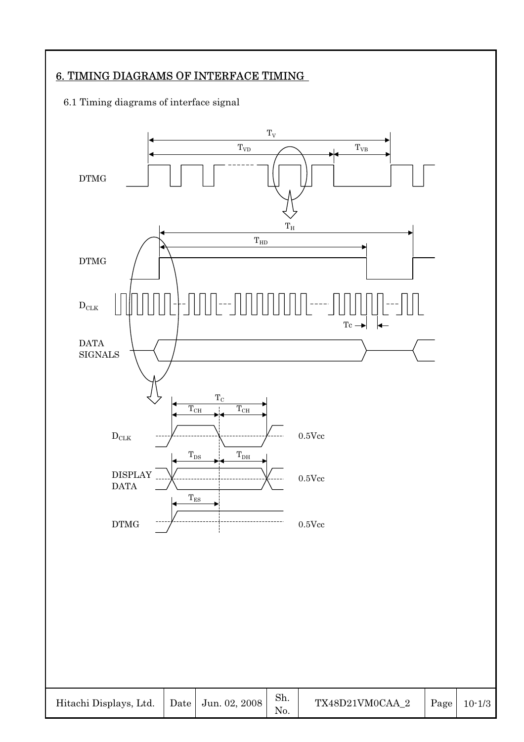# 6. TIMING DIAGRAMS OF INTERFACE TIMING

# 6.1 Timing diagrams of interface signal

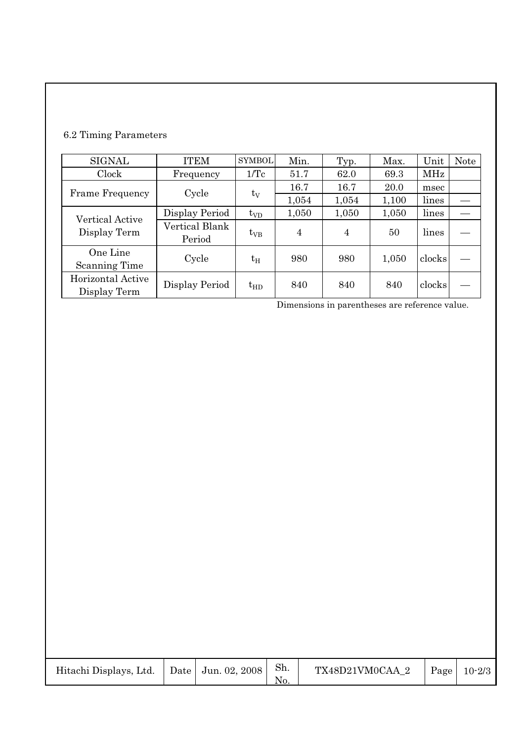# 6.2 Timing Parameters

| <b>SIGNAL</b>                     | <b>ITEM</b>              | <b>SYMBOL</b> | Min.  | Typ.  | Max.  | Unit           | Note |
|-----------------------------------|--------------------------|---------------|-------|-------|-------|----------------|------|
| Clock                             | Frequency                | $1/\text{Tc}$ | 51.7  | 62.0  | 69.3  | MHz            |      |
| <b>Frame Frequency</b>            | Cycle                    |               | 16.7  | 16.7  | 20.0  | msec           |      |
|                                   |                          | $t_V$         | 1,054 | 1,054 | 1,100 | lines<br>lines |      |
| <b>Vertical Active</b>            | Display Period           | $t_{VD}$      | 1,050 | 1,050 | 1,050 |                |      |
| Display Term                      | Vertical Blank<br>Period | $t_{VB}$      | 4     | 4     | 50    | lines          |      |
| One Line<br><b>Scanning Time</b>  | Cycle                    | $t_{\rm H}$   | 980   | 980   | 1,050 | clocks         |      |
| Horizontal Active<br>Display Term | Display Period           | $t_{HD}$      | 840   | 840   | 840   | clocks         |      |

Dimensions in parentheses are reference value.

| Hitachi Displays, Ltd. |  | Date   Jun. 02, 2008 | Sh.<br>No. | TX48D21VM0CAA 2 | Page | $10 - 2/3$ |
|------------------------|--|----------------------|------------|-----------------|------|------------|
|------------------------|--|----------------------|------------|-----------------|------|------------|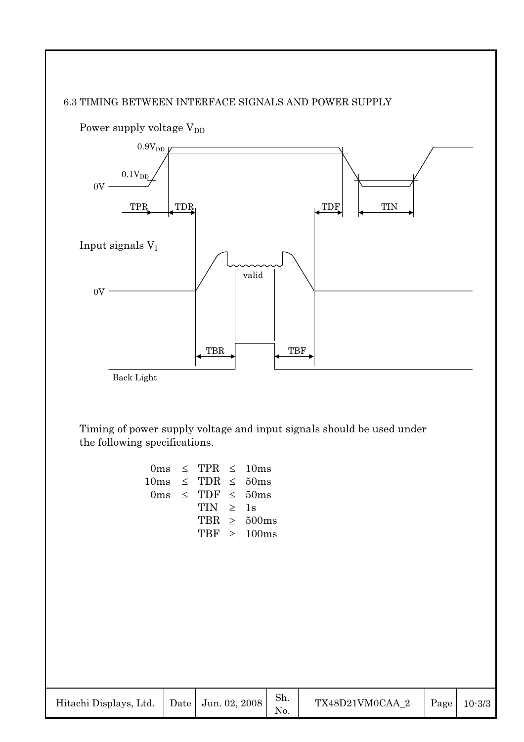# 6.3 TIMING BETWEEN INTERFACE SIGNALS AND POWER SUPPLY



Timing of power supply voltage and input signals should be used under the following specifications.

|                           | $0 \text{ms} \leq \text{TPR} \leq 10 \text{ms}$ |                  |
|---------------------------|-------------------------------------------------|------------------|
| $10ms \leq TDR \leq 50ms$ |                                                 |                  |
|                           | $0 \text{ms} \leq \text{TDF} \leq 50 \text{ms}$ |                  |
|                           | TIN > 1s                                        |                  |
|                           |                                                 | TBR $\geq$ 500ms |
|                           |                                                 | TRF $\geq$ 100ms |
|                           |                                                 |                  |

| Hitachi Displays, Ltd.   Date   Jun. 02, 2008 |  |  | $\mathbf{S}$ h. | TX48D21VM0CAA 2 |  | $\vert$ Page $\vert$ 10-3/3 |
|-----------------------------------------------|--|--|-----------------|-----------------|--|-----------------------------|
|-----------------------------------------------|--|--|-----------------|-----------------|--|-----------------------------|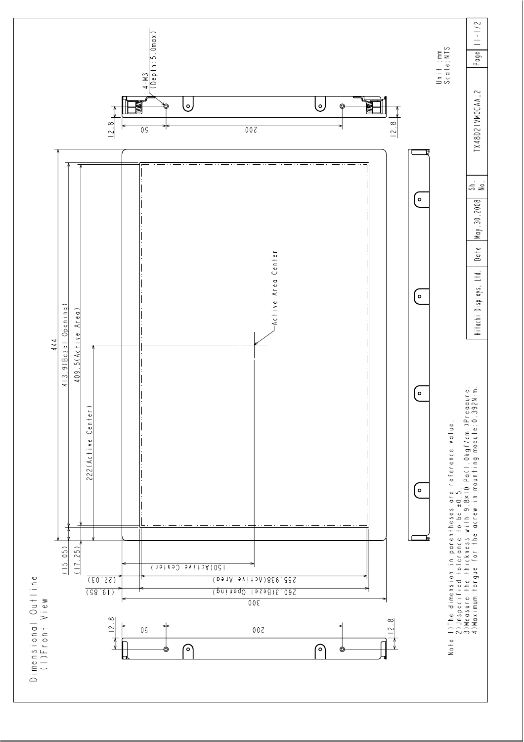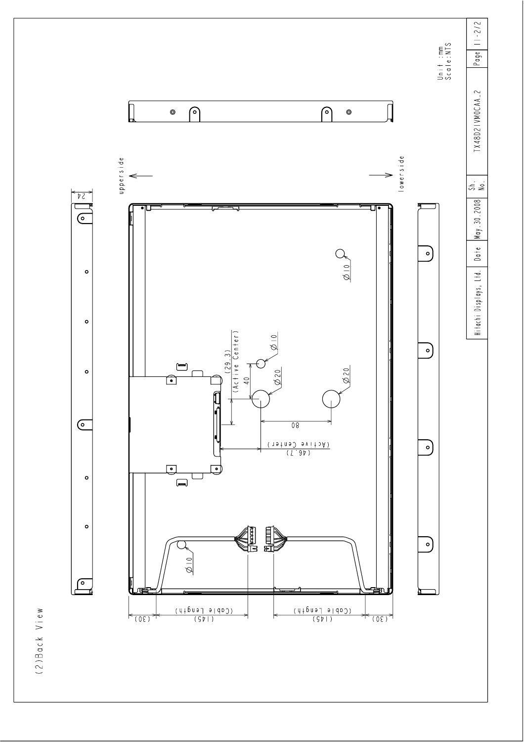

(2) Back View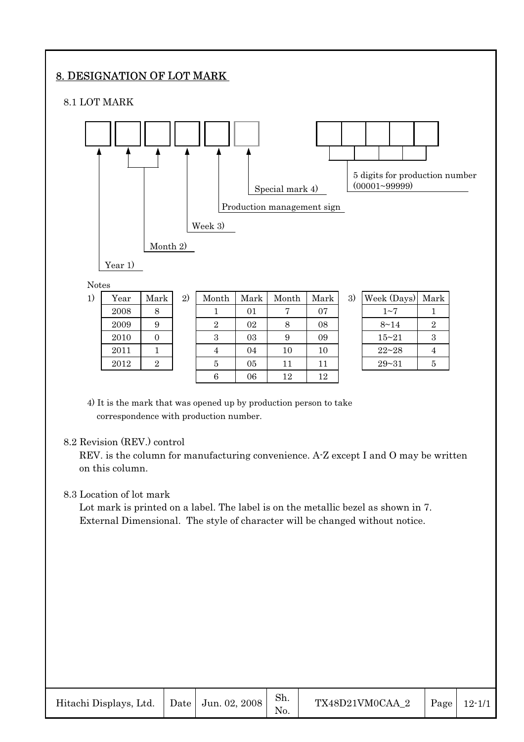# 8. DESIGNATION OF LOT MARK

#### 8.1 LOT MARK



4) It is the mark that was opened up by production person to take correspondence with production number.

#### 8.2 Revision (REV.) control

REV. is the column for manufacturing convenience. A-Z except I and O may be written on this column.

 $2010$  | 0 | 3 | 03 | 9 | 09 | | 15~21 | 3 2011 | 1 | 4 | 04 | 10 | 10 | 22~28 | 4  $2012$  | 2 | | 5 | 05 | 11 | 11 | | 29~31 | 5 6 | 06 | 12 | 12

#### 8.3 Location of lot mark

Lot mark is printed on a label. The label is on the metallic bezel as shown in 7. External Dimensional. The style of character will be changed without notice.

| Hitachi Displays, Ltd. | Date   Jun. 02, 2008 | Sh. | TX48D21VM0CAA 2 | Page | $12 - 1/1$ |
|------------------------|----------------------|-----|-----------------|------|------------|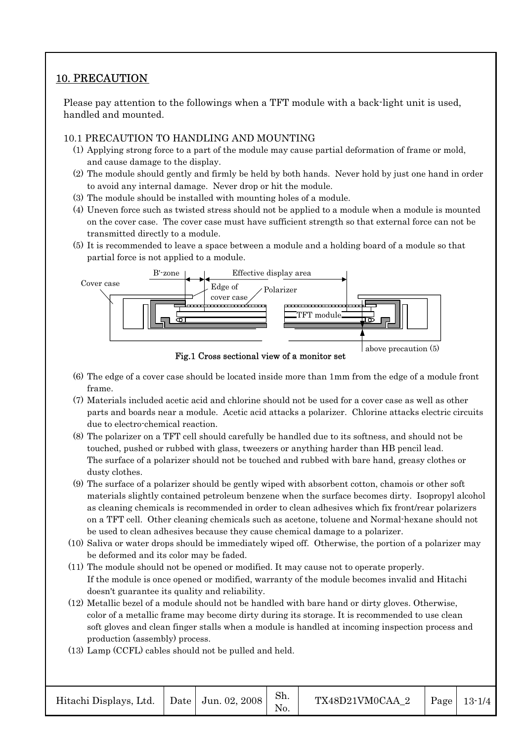# 10. PRECAUTION

Please pay attention to the followings when a TFT module with a back-light unit is used, handled and mounted.

# 10.1 PRECAUTION TO HANDLING AND MOUNTING

- (1) Applying strong force to a part of the module may cause partial deformation of frame or mold, and cause damage to the display.
- (2) The module should gently and firmly be held by both hands. Never hold by just one hand in order to avoid any internal damage. Never drop or hit the module.
- (3) The module should be installed with mounting holes of a module.
- (4) Uneven force such as twisted stress should not be applied to a module when a module is mounted on the cover case. The cover case must have sufficient strength so that external force can not be transmitted directly to a module.
- (5) It is recommended to leave a space between a module and a holding board of a module so that partial force is not applied to a module.



- (6) The edge of a cover case should be located inside more than 1mm from the edge of a module front frame.
- (7) Materials included acetic acid and chlorine should not be used for a cover case as well as other parts and boards near a module. Acetic acid attacks a polarizer. Chlorine attacks electric circuits due to electro-chemical reaction.
- (8) The polarizer on a TFT cell should carefully be handled due to its softness, and should not be touched, pushed or rubbed with glass, tweezers or anything harder than HB pencil lead. The surface of a polarizer should not be touched and rubbed with bare hand, greasy clothes or dusty clothes.
- (9) The surface of a polarizer should be gently wiped with absorbent cotton, chamois or other soft materials slightly contained petroleum benzene when the surface becomes dirty. Isopropyl alcohol as cleaning chemicals is recommended in order to clean adhesives which fix front/rear polarizers on a TFT cell. Other cleaning chemicals such as acetone, toluene and Normal-hexane should not be used to clean adhesives because they cause chemical damage to a polarizer.
- (10) Saliva or water drops should be immediately wiped off. Otherwise, the portion of a polarizer may be deformed and its color may be faded.
- (11) The module should not be opened or modified. It may cause not to operate properly. If the module is once opened or modified, warranty of the module becomes invalid and Hitachi doesn't guarantee its quality and reliability.
- (12) Metallic bezel of a module should not be handled with bare hand or dirty gloves. Otherwise, color of a metallic frame may become dirty during its storage. It is recommended to use clean soft gloves and clean finger stalls when a module is handled at incoming inspection process and production (assembly) process.
- (13) Lamp (CCFL) cables should not be pulled and held.

| Hitachi Displays, Ltd.   Date   Jun. 02, 2008 |  |  | Sh. | TX48D21VM0CAA 2 |  | Page   $13-1/4$ |
|-----------------------------------------------|--|--|-----|-----------------|--|-----------------|
|-----------------------------------------------|--|--|-----|-----------------|--|-----------------|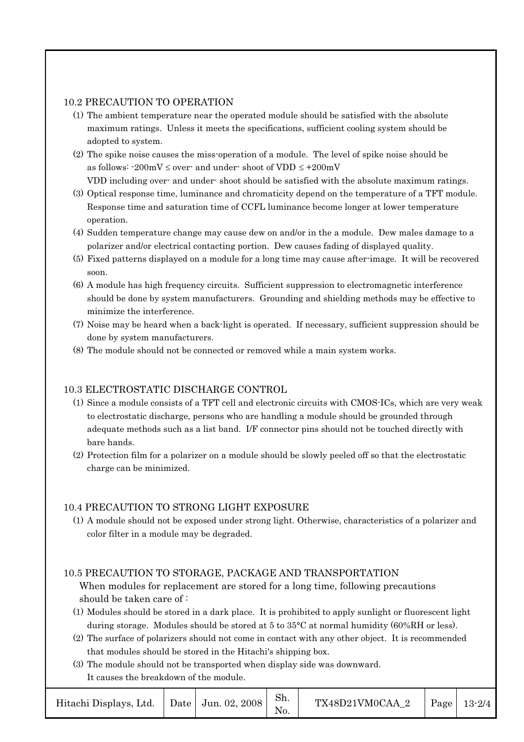#### 10.2 PRECAUTION TO OPERATION

- (1) The ambient temperature near the operated module should be satisfied with the absolute maximum ratings. Unless it meets the specifications, sufficient cooling system should be adopted to system.
- (2) The spike noise causes the miss-operation of a module. The level of spike noise should be as follows:  $-200mV \le$  over- and under-shoot of VDD  $\le +200mV$ VDD including over- and under- shoot should be satisfied with the absolute maximum ratings.
- (3) Optical response time, luminance and chromaticity depend on the temperature of a TFT module. Response time and saturation time of CCFL luminance become longer at lower temperature operation.
- (4) Sudden temperature change may cause dew on and/or in the a module. Dew males damage to a polarizer and/or electrical contacting portion. Dew causes fading of displayed quality.
- (5) Fixed patterns displayed on a module for a long time may cause after-image. It will be recovered soon.
- (6) A module has high frequency circuits. Sufficient suppression to electromagnetic interference should be done by system manufacturers. Grounding and shielding methods may be effective to minimize the interference.
- (7) Noise may be heard when a back-light is operated. If necessary, sufficient suppression should be done by system manufacturers.
- (8) The module should not be connected or removed while a main system works.

#### 10.3 ELECTROSTATIC DISCHARGE CONTROL

- (1) Since a module consists of a TFT cell and electronic circuits with CMOS-ICs, which are very weak to electrostatic discharge, persons who are handling a module should be grounded through adequate methods such as a list band. I/F connector pins should not be touched directly with bare hands.
- (2) Protection film for a polarizer on a module should be slowly peeled off so that the electrostatic charge can be minimized.

#### 10.4 PRECAUTION TO STRONG LIGHT EXPOSURE

(1) A module should not be exposed under strong light. Otherwise, characteristics of a polarizer and color filter in a module may be degraded.

#### 10.5 PRECAUTION TO STORAGE, PACKAGE AND TRANSPORTATION

# When modules for replacement are stored for a long time, following precautions should be taken care of :

- (1) Modules should be stored in a dark place. It is prohibited to apply sunlight or fluorescent light during storage. Modules should be stored at 5 to 35°C at normal humidity (60%RH or less).
- (2) The surface of polarizers should not come in contact with any other object. It is recommended that modules should be stored in the Hitachi's shipping box.
- (3) The module should not be transported when display side was downward. It causes the breakdown of the module.

| Hitachi Displays, Ltd. |  | Date   Jun. 02, 2008 | Sh. | TX48D21VM0CAA 2 |  | Page $13-2/4$ |
|------------------------|--|----------------------|-----|-----------------|--|---------------|
|------------------------|--|----------------------|-----|-----------------|--|---------------|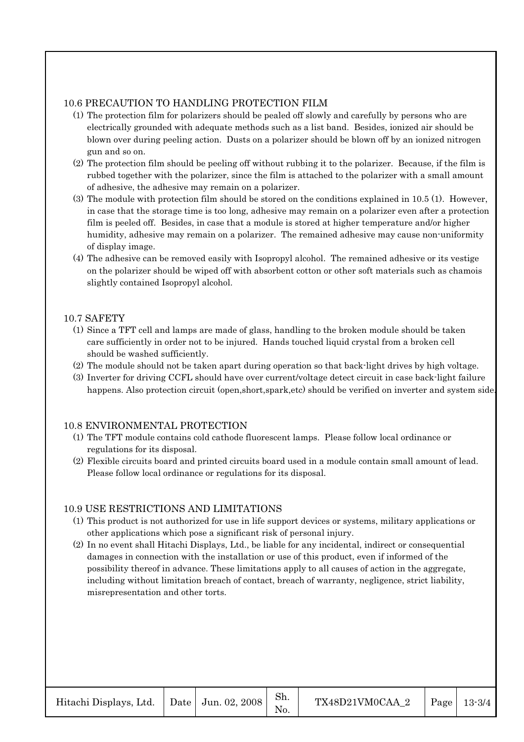#### 10.6 PRECAUTION TO HANDLING PROTECTION FILM

- (1) The protection film for polarizers should be pealed off slowly and carefully by persons who are electrically grounded with adequate methods such as a list band. Besides, ionized air should be blown over during peeling action. Dusts on a polarizer should be blown off by an ionized nitrogen gun and so on.
- (2) The protection film should be peeling off without rubbing it to the polarizer. Because, if the film is rubbed together with the polarizer, since the film is attached to the polarizer with a small amount of adhesive, the adhesive may remain on a polarizer.
- (3) The module with protection film should be stored on the conditions explained in 10.5 (1). However, in case that the storage time is too long, adhesive may remain on a polarizer even after a protection film is peeled off. Besides, in case that a module is stored at higher temperature and/or higher humidity, adhesive may remain on a polarizer. The remained adhesive may cause non-uniformity of display image.
- (4) The adhesive can be removed easily with Isopropyl alcohol. The remained adhesive or its vestige on the polarizer should be wiped off with absorbent cotton or other soft materials such as chamois slightly contained Isopropyl alcohol.

#### 10.7 SAFETY

- (1) Since a TFT cell and lamps are made of glass, handling to the broken module should be taken care sufficiently in order not to be injured. Hands touched liquid crystal from a broken cell should be washed sufficiently.
- (2) The module should not be taken apart during operation so that back-light drives by high voltage.
- (3) Inverter for driving CCFL should have over current/voltage detect circuit in case back-light failure happens. Also protection circuit (open,short,spark,etc) should be verified on inverter and system side.

# 10.8 ENVIRONMENTAL PROTECTION

- (1) The TFT module contains cold cathode fluorescent lamps. Please follow local ordinance or regulations for its disposal.
- (2) Flexible circuits board and printed circuits board used in a module contain small amount of lead. Please follow local ordinance or regulations for its disposal.

# 10.9 USE RESTRICTIONS AND LIMITATIONS

- (1) This product is not authorized for use in life support devices or systems, military applications or other applications which pose a significant risk of personal injury.
- (2) In no event shall Hitachi Displays, Ltd., be liable for any incidental, indirect or consequential damages in connection with the installation or use of this product, even if informed of the possibility thereof in advance. These limitations apply to all causes of action in the aggregate, including without limitation breach of contact, breach of warranty, negligence, strict liability, misrepresentation and other torts.

| Hitachi Displays, Ltd.   Date   Jun. 02, 2008 |  |  | Sh. | $TX48D21VM0CAA$ 2   Page   13-3/4 |  |  |
|-----------------------------------------------|--|--|-----|-----------------------------------|--|--|
|-----------------------------------------------|--|--|-----|-----------------------------------|--|--|